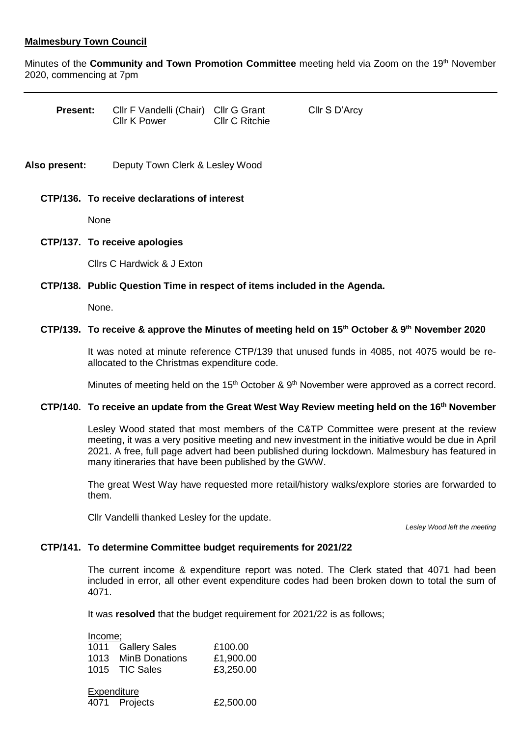# **Malmesbury Town Council**

Minutes of the **Community and Town Promotion Committee** meeting held via Zoom on the 19th November 2020, commencing at 7pm

| <b>Present:</b> | CIIr F Vandelli (Chair) CIIr G Grant |                       | Cllr S D'Arcy |
|-----------------|--------------------------------------|-----------------------|---------------|
|                 | Cllr K Power                         | <b>CIIr C Ritchie</b> |               |

**Also present:** Deputy Town Clerk & Lesley Wood

#### **CTP/136. To receive declarations of interest**

None

#### **CTP/137. To receive apologies**

Cllrs C Hardwick & J Exton

# **CTP/138. Public Question Time in respect of items included in the Agenda.**

None.

## **CTP/139. To receive & approve the Minutes of meeting held on 15th October & 9th November 2020**

It was noted at minute reference CTP/139 that unused funds in 4085, not 4075 would be reallocated to the Christmas expenditure code.

Minutes of meeting held on the 15<sup>th</sup> October & 9<sup>th</sup> November were approved as a correct record.

# **CTP/140. To receive an update from the Great West Way Review meeting held on the 16th November**

Lesley Wood stated that most members of the C&TP Committee were present at the review meeting, it was a very positive meeting and new investment in the initiative would be due in April 2021. A free, full page advert had been published during lockdown. Malmesbury has featured in many itineraries that have been published by the GWW.

The great West Way have requested more retail/history walks/explore stories are forwarded to them.

Cllr Vandelli thanked Lesley for the update.

*Lesley Wood left the meeting*

#### **CTP/141. To determine Committee budget requirements for 2021/22**

The current income & expenditure report was noted. The Clerk stated that 4071 had been included in error, all other event expenditure codes had been broken down to total the sum of 4071.

It was **resolved** that the budget requirement for 2021/22 is as follows;

| Income; |                     |           |
|---------|---------------------|-----------|
|         | 1011 Gallery Sales  | £100.00   |
|         | 1013 MinB Donations | £1,900.00 |
|         | 1015 TIC Sales      | £3,250.00 |
|         |                     |           |

| Expenditure |               |           |  |
|-------------|---------------|-----------|--|
|             | 4071 Projects | £2,500.00 |  |